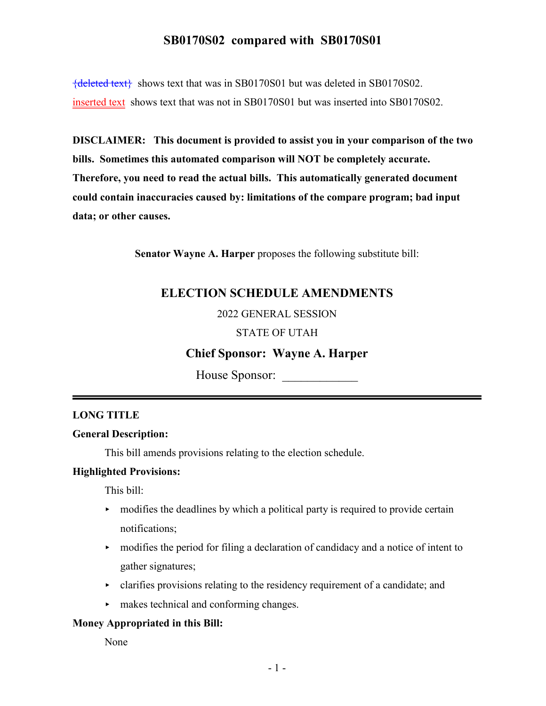{deleted text} shows text that was in SB0170S01 but was deleted in SB0170S02. inserted text shows text that was not in SB0170S01 but was inserted into SB0170S02.

**DISCLAIMER: This document is provided to assist you in your comparison of the two bills. Sometimes this automated comparison will NOT be completely accurate. Therefore, you need to read the actual bills. This automatically generated document could contain inaccuracies caused by: limitations of the compare program; bad input data; or other causes.**

**Senator Wayne A. Harper** proposes the following substitute bill:

## **ELECTION SCHEDULE AMENDMENTS**

#### 2022 GENERAL SESSION

#### STATE OF UTAH

## **Chief Sponsor: Wayne A. Harper**

House Sponsor: \_\_\_\_\_\_\_\_\_\_\_\_

#### **LONG TITLE**

#### **General Description:**

This bill amends provisions relating to the election schedule.

#### **Highlighted Provisions:**

This bill:

- $\rightarrow$  modifies the deadlines by which a political party is required to provide certain notifications;
- $\blacktriangleright$  modifies the period for filing a declaration of candidacy and a notice of intent to gather signatures;
- $\triangleright$  clarifies provisions relating to the residency requirement of a candidate; and
- $\blacktriangleright$  makes technical and conforming changes.

#### **Money Appropriated in this Bill:**

None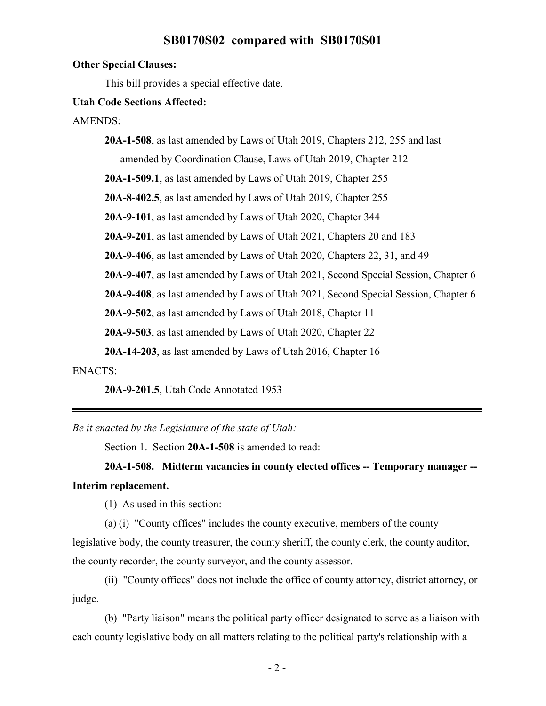#### **Other Special Clauses:**

This bill provides a special effective date.

#### **Utah Code Sections Affected:**

AMENDS:

**20A-1-508**, as last amended by Laws of Utah 2019, Chapters 212, 255 and last amended by Coordination Clause, Laws of Utah 2019, Chapter 212 **20A-1-509.1**, as last amended by Laws of Utah 2019, Chapter 255 **20A-8-402.5**, as last amended by Laws of Utah 2019, Chapter 255 **20A-9-101**, as last amended by Laws of Utah 2020, Chapter 344 **20A-9-201**, as last amended by Laws of Utah 2021, Chapters 20 and 183 **20A-9-406**, as last amended by Laws of Utah 2020, Chapters 22, 31, and 49 **20A-9-407**, as last amended by Laws of Utah 2021, Second Special Session, Chapter 6 **20A-9-408**, as last amended by Laws of Utah 2021, Second Special Session, Chapter 6 **20A-9-502**, as last amended by Laws of Utah 2018, Chapter 11 **20A-9-503**, as last amended by Laws of Utah 2020, Chapter 22 **20A-14-203**, as last amended by Laws of Utah 2016, Chapter 16

ENACTS:

**20A-9-201.5**, Utah Code Annotated 1953

*Be it enacted by the Legislature of the state of Utah:*

Section 1. Section **20A-1-508** is amended to read:

**20A-1-508. Midterm vacancies in county elected offices -- Temporary manager -- Interim replacement.**

(1) As used in this section:

(a) (i) "County offices" includes the county executive, members of the county

legislative body, the county treasurer, the county sheriff, the county clerk, the county auditor, the county recorder, the county surveyor, and the county assessor.

(ii) "County offices" does not include the office of county attorney, district attorney, or judge.

(b) "Party liaison" means the political party officer designated to serve as a liaison with each county legislative body on all matters relating to the political party's relationship with a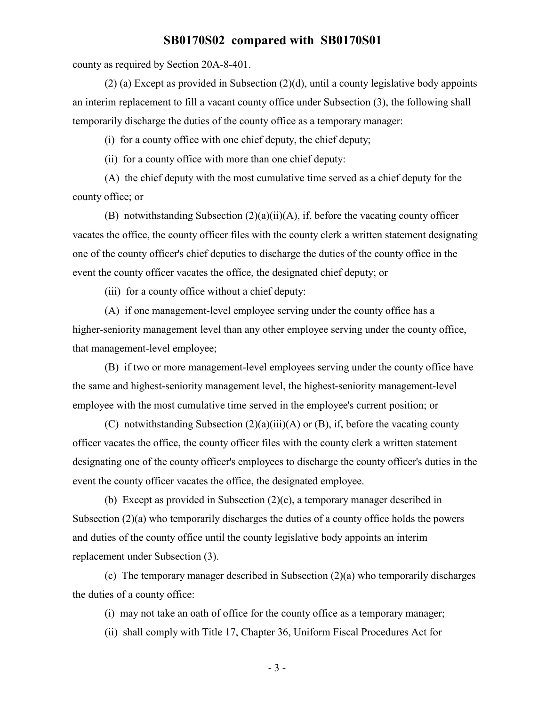county as required by Section 20A-8-401.

(2) (a) Except as provided in Subsection (2)(d), until a county legislative body appoints an interim replacement to fill a vacant county office under Subsection (3), the following shall temporarily discharge the duties of the county office as a temporary manager:

(i) for a county office with one chief deputy, the chief deputy;

(ii) for a county office with more than one chief deputy:

(A) the chief deputy with the most cumulative time served as a chief deputy for the county office; or

(B) notwithstanding Subsection (2)(a)(ii)(A), if, before the vacating county officer vacates the office, the county officer files with the county clerk a written statement designating one of the county officer's chief deputies to discharge the duties of the county office in the event the county officer vacates the office, the designated chief deputy; or

(iii) for a county office without a chief deputy:

(A) if one management-level employee serving under the county office has a higher-seniority management level than any other employee serving under the county office, that management-level employee;

(B) if two or more management-level employees serving under the county office have the same and highest-seniority management level, the highest-seniority management-level employee with the most cumulative time served in the employee's current position; or

(C) notwithstanding Subsection  $(2)(a)(iii)(A)$  or  $(B)$ , if, before the vacating county officer vacates the office, the county officer files with the county clerk a written statement designating one of the county officer's employees to discharge the county officer's duties in the event the county officer vacates the office, the designated employee.

(b) Except as provided in Subsection (2)(c), a temporary manager described in Subsection  $(2)(a)$  who temporarily discharges the duties of a county office holds the powers and duties of the county office until the county legislative body appoints an interim replacement under Subsection (3).

(c) The temporary manager described in Subsection (2)(a) who temporarily discharges the duties of a county office:

(i) may not take an oath of office for the county office as a temporary manager;

(ii) shall comply with Title 17, Chapter 36, Uniform Fiscal Procedures Act for

- 3 -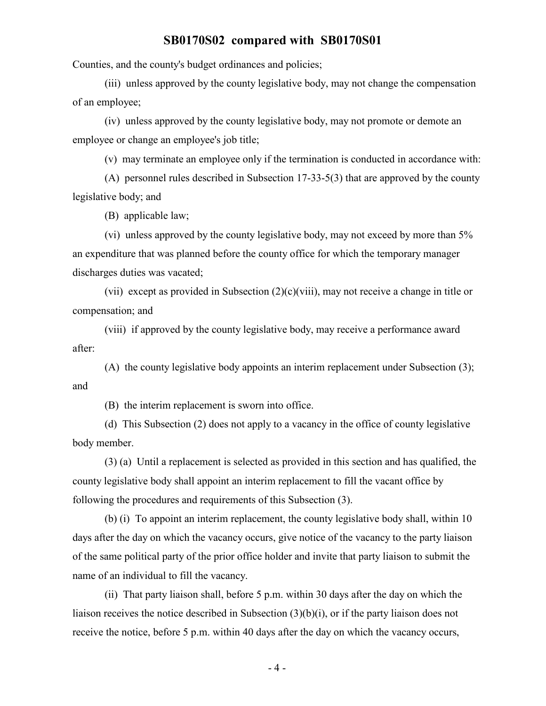Counties, and the county's budget ordinances and policies;

(iii) unless approved by the county legislative body, may not change the compensation of an employee;

(iv) unless approved by the county legislative body, may not promote or demote an employee or change an employee's job title;

(v) may terminate an employee only if the termination is conducted in accordance with:

(A) personnel rules described in Subsection 17-33-5(3) that are approved by the county legislative body; and

(B) applicable law;

(vi) unless approved by the county legislative body, may not exceed by more than 5% an expenditure that was planned before the county office for which the temporary manager discharges duties was vacated;

(vii) except as provided in Subsection (2)(c)(viii), may not receive a change in title or compensation; and

(viii) if approved by the county legislative body, may receive a performance award after:

(A) the county legislative body appoints an interim replacement under Subsection (3); and

(B) the interim replacement is sworn into office.

(d) This Subsection (2) does not apply to a vacancy in the office of county legislative body member.

(3) (a) Until a replacement is selected as provided in this section and has qualified, the county legislative body shall appoint an interim replacement to fill the vacant office by following the procedures and requirements of this Subsection (3).

(b) (i) To appoint an interim replacement, the county legislative body shall, within 10 days after the day on which the vacancy occurs, give notice of the vacancy to the party liaison of the same political party of the prior office holder and invite that party liaison to submit the name of an individual to fill the vacancy.

(ii) That party liaison shall, before 5 p.m. within 30 days after the day on which the liaison receives the notice described in Subsection (3)(b)(i), or if the party liaison does not receive the notice, before 5 p.m. within 40 days after the day on which the vacancy occurs,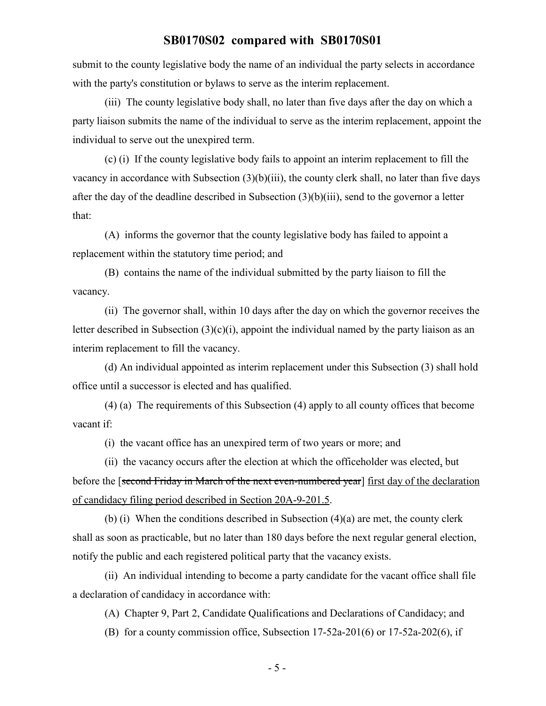submit to the county legislative body the name of an individual the party selects in accordance with the party's constitution or bylaws to serve as the interim replacement.

(iii) The county legislative body shall, no later than five days after the day on which a party liaison submits the name of the individual to serve as the interim replacement, appoint the individual to serve out the unexpired term.

(c) (i) If the county legislative body fails to appoint an interim replacement to fill the vacancy in accordance with Subsection (3)(b)(iii), the county clerk shall, no later than five days after the day of the deadline described in Subsection (3)(b)(iii), send to the governor a letter that:

(A) informs the governor that the county legislative body has failed to appoint a replacement within the statutory time period; and

(B) contains the name of the individual submitted by the party liaison to fill the vacancy.

(ii) The governor shall, within 10 days after the day on which the governor receives the letter described in Subsection  $(3)(c)(i)$ , appoint the individual named by the party liaison as an interim replacement to fill the vacancy.

(d) An individual appointed as interim replacement under this Subsection (3) shall hold office until a successor is elected and has qualified.

(4) (a) The requirements of this Subsection (4) apply to all county offices that become vacant if:

(i) the vacant office has an unexpired term of two years or more; and

(ii) the vacancy occurs after the election at which the officeholder was elected, but before the [second Friday in March of the next even-numbered year] first day of the declaration of candidacy filing period described in Section 20A-9-201.5.

(b) (i) When the conditions described in Subsection (4)(a) are met, the county clerk shall as soon as practicable, but no later than 180 days before the next regular general election, notify the public and each registered political party that the vacancy exists.

(ii) An individual intending to become a party candidate for the vacant office shall file a declaration of candidacy in accordance with:

(A) Chapter 9, Part 2, Candidate Qualifications and Declarations of Candidacy; and

(B) for a county commission office, Subsection 17-52a-201(6) or 17-52a-202(6), if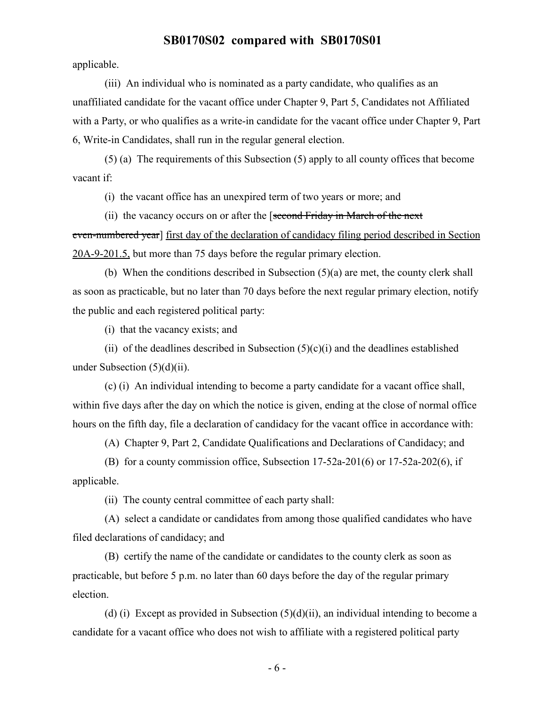applicable.

(iii) An individual who is nominated as a party candidate, who qualifies as an unaffiliated candidate for the vacant office under Chapter 9, Part 5, Candidates not Affiliated with a Party, or who qualifies as a write-in candidate for the vacant office under Chapter 9, Part 6, Write-in Candidates, shall run in the regular general election.

(5) (a) The requirements of this Subsection (5) apply to all county offices that become vacant if:

(i) the vacant office has an unexpired term of two years or more; and

(ii) the vacancy occurs on or after the [second Friday in March of the next even-numbered year] first day of the declaration of candidacy filing period described in Section 20A-9-201.5, but more than 75 days before the regular primary election.

(b) When the conditions described in Subsection (5)(a) are met, the county clerk shall as soon as practicable, but no later than 70 days before the next regular primary election, notify the public and each registered political party:

(i) that the vacancy exists; and

(ii) of the deadlines described in Subsection  $(5)(c)(i)$  and the deadlines established under Subsection  $(5)(d)(ii)$ .

(c) (i) An individual intending to become a party candidate for a vacant office shall, within five days after the day on which the notice is given, ending at the close of normal office hours on the fifth day, file a declaration of candidacy for the vacant office in accordance with:

(A) Chapter 9, Part 2, Candidate Qualifications and Declarations of Candidacy; and

(B) for a county commission office, Subsection 17-52a-201(6) or 17-52a-202(6), if applicable.

(ii) The county central committee of each party shall:

(A) select a candidate or candidates from among those qualified candidates who have filed declarations of candidacy; and

(B) certify the name of the candidate or candidates to the county clerk as soon as practicable, but before 5 p.m. no later than 60 days before the day of the regular primary election.

(d) (i) Except as provided in Subsection  $(5)(d)(ii)$ , an individual intending to become a candidate for a vacant office who does not wish to affiliate with a registered political party

- 6 -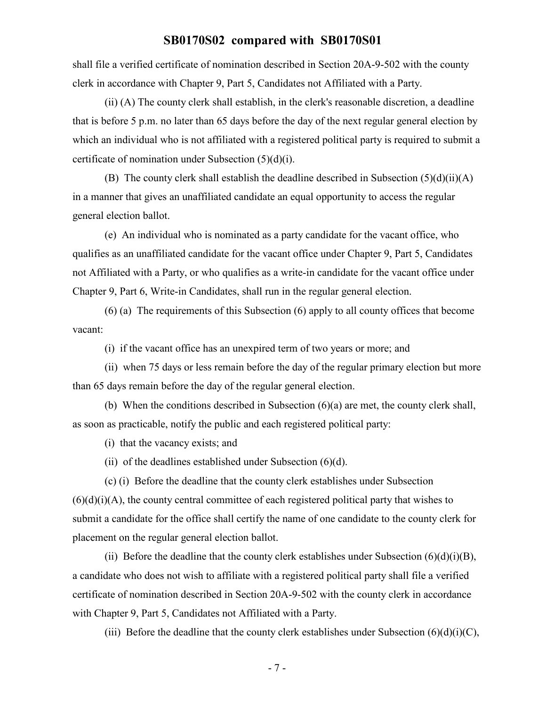shall file a verified certificate of nomination described in Section 20A-9-502 with the county clerk in accordance with Chapter 9, Part 5, Candidates not Affiliated with a Party.

(ii) (A) The county clerk shall establish, in the clerk's reasonable discretion, a deadline that is before 5 p.m. no later than 65 days before the day of the next regular general election by which an individual who is not affiliated with a registered political party is required to submit a certificate of nomination under Subsection (5)(d)(i).

(B) The county clerk shall establish the deadline described in Subsection  $(5)(d)(ii)(A)$ in a manner that gives an unaffiliated candidate an equal opportunity to access the regular general election ballot.

(e) An individual who is nominated as a party candidate for the vacant office, who qualifies as an unaffiliated candidate for the vacant office under Chapter 9, Part 5, Candidates not Affiliated with a Party, or who qualifies as a write-in candidate for the vacant office under Chapter 9, Part 6, Write-in Candidates, shall run in the regular general election.

(6) (a) The requirements of this Subsection (6) apply to all county offices that become vacant:

(i) if the vacant office has an unexpired term of two years or more; and

(ii) when 75 days or less remain before the day of the regular primary election but more than 65 days remain before the day of the regular general election.

(b) When the conditions described in Subsection (6)(a) are met, the county clerk shall, as soon as practicable, notify the public and each registered political party:

(i) that the vacancy exists; and

(ii) of the deadlines established under Subsection (6)(d).

(c) (i) Before the deadline that the county clerk establishes under Subsection  $(6)(d)(i)(A)$ , the county central committee of each registered political party that wishes to submit a candidate for the office shall certify the name of one candidate to the county clerk for placement on the regular general election ballot.

(ii) Before the deadline that the county clerk establishes under Subsection  $(6)(d)(i)(B)$ , a candidate who does not wish to affiliate with a registered political party shall file a verified certificate of nomination described in Section 20A-9-502 with the county clerk in accordance with Chapter 9, Part 5, Candidates not Affiliated with a Party.

(iii) Before the deadline that the county clerk establishes under Subsection  $(6)(d)(i)(C)$ ,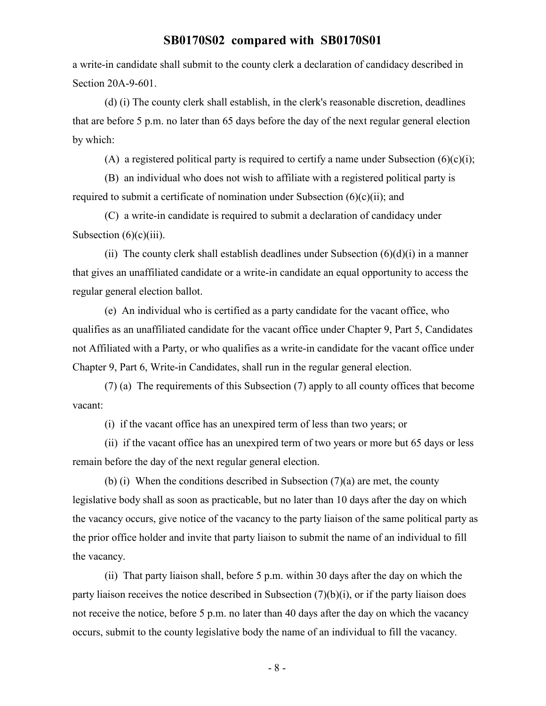a write-in candidate shall submit to the county clerk a declaration of candidacy described in Section 20A-9-601.

(d) (i) The county clerk shall establish, in the clerk's reasonable discretion, deadlines that are before 5 p.m. no later than 65 days before the day of the next regular general election by which:

(A) a registered political party is required to certify a name under Subsection  $(6)(c)(i)$ ;

(B) an individual who does not wish to affiliate with a registered political party is required to submit a certificate of nomination under Subsection  $(6)(c)(ii)$ ; and

(C) a write-in candidate is required to submit a declaration of candidacy under Subsection  $(6)(c)(iii)$ .

(ii) The county clerk shall establish deadlines under Subsection  $(6)(d)(i)$  in a manner that gives an unaffiliated candidate or a write-in candidate an equal opportunity to access the regular general election ballot.

(e) An individual who is certified as a party candidate for the vacant office, who qualifies as an unaffiliated candidate for the vacant office under Chapter 9, Part 5, Candidates not Affiliated with a Party, or who qualifies as a write-in candidate for the vacant office under Chapter 9, Part 6, Write-in Candidates, shall run in the regular general election.

(7) (a) The requirements of this Subsection (7) apply to all county offices that become vacant:

(i) if the vacant office has an unexpired term of less than two years; or

(ii) if the vacant office has an unexpired term of two years or more but 65 days or less remain before the day of the next regular general election.

(b) (i) When the conditions described in Subsection  $(7)(a)$  are met, the county legislative body shall as soon as practicable, but no later than 10 days after the day on which the vacancy occurs, give notice of the vacancy to the party liaison of the same political party as the prior office holder and invite that party liaison to submit the name of an individual to fill the vacancy.

(ii) That party liaison shall, before 5 p.m. within 30 days after the day on which the party liaison receives the notice described in Subsection (7)(b)(i), or if the party liaison does not receive the notice, before 5 p.m. no later than 40 days after the day on which the vacancy occurs, submit to the county legislative body the name of an individual to fill the vacancy.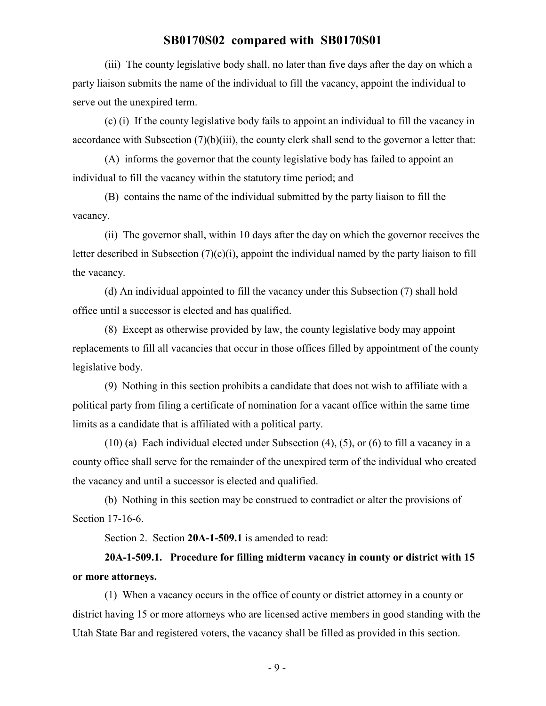(iii) The county legislative body shall, no later than five days after the day on which a party liaison submits the name of the individual to fill the vacancy, appoint the individual to serve out the unexpired term.

(c) (i) If the county legislative body fails to appoint an individual to fill the vacancy in accordance with Subsection (7)(b)(iii), the county clerk shall send to the governor a letter that:

(A) informs the governor that the county legislative body has failed to appoint an individual to fill the vacancy within the statutory time period; and

(B) contains the name of the individual submitted by the party liaison to fill the vacancy.

(ii) The governor shall, within 10 days after the day on which the governor receives the letter described in Subsection (7)(c)(i), appoint the individual named by the party liaison to fill the vacancy.

(d) An individual appointed to fill the vacancy under this Subsection (7) shall hold office until a successor is elected and has qualified.

(8) Except as otherwise provided by law, the county legislative body may appoint replacements to fill all vacancies that occur in those offices filled by appointment of the county legislative body.

(9) Nothing in this section prohibits a candidate that does not wish to affiliate with a political party from filing a certificate of nomination for a vacant office within the same time limits as a candidate that is affiliated with a political party.

(10) (a) Each individual elected under Subsection (4), (5), or (6) to fill a vacancy in a county office shall serve for the remainder of the unexpired term of the individual who created the vacancy and until a successor is elected and qualified.

(b) Nothing in this section may be construed to contradict or alter the provisions of Section 17-16-6.

Section 2. Section 20A-1-509.1 is amended to read:

## **20A-1-509.1. Procedure for filling midterm vacancy in county or district with 15 or more attorneys.**

(1) When a vacancy occurs in the office of county or district attorney in a county or district having 15 or more attorneys who are licensed active members in good standing with the Utah State Bar and registered voters, the vacancy shall be filled as provided in this section.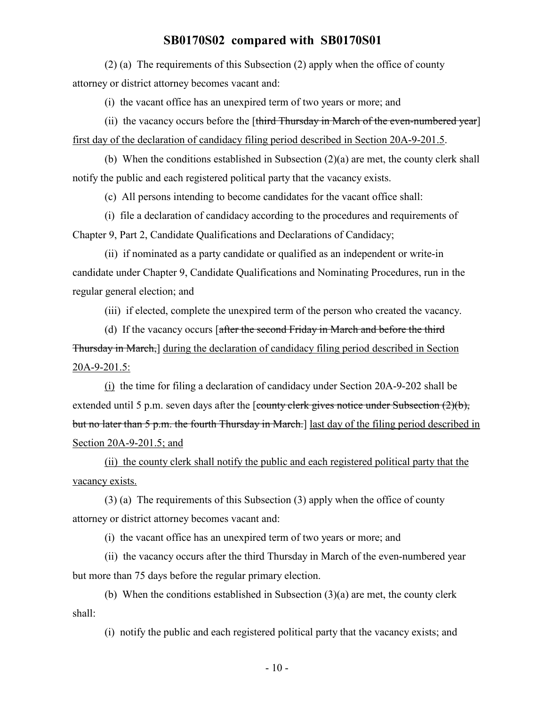(2) (a) The requirements of this Subsection (2) apply when the office of county attorney or district attorney becomes vacant and:

(i) the vacant office has an unexpired term of two years or more; and

(ii) the vacancy occurs before the  $[third\; Thursday\; in\; March\; of\; the\; even-numbered\; year]$ first day of the declaration of candidacy filing period described in Section 20A-9-201.5.

(b) When the conditions established in Subsection (2)(a) are met, the county clerk shall notify the public and each registered political party that the vacancy exists.

(c) All persons intending to become candidates for the vacant office shall:

(i) file a declaration of candidacy according to the procedures and requirements of Chapter 9, Part 2, Candidate Qualifications and Declarations of Candidacy;

(ii) if nominated as a party candidate or qualified as an independent or write-in candidate under Chapter 9, Candidate Qualifications and Nominating Procedures, run in the regular general election; and

(iii) if elected, complete the unexpired term of the person who created the vacancy.

(d) If the vacancy occurs [after the second Friday in March and before the third Thursday in March,] during the declaration of candidacy filing period described in Section 20A-9-201.5:

(i) the time for filing a declaration of candidacy under Section 20A-9-202 shall be extended until 5 p.m. seven days after the [county clerk gives notice under Subsection (2)(b), but no later than 5 p.m. the fourth Thursday in March.] last day of the filing period described in Section 20A-9-201.5; and

(ii) the county clerk shall notify the public and each registered political party that the vacancy exists.

(3) (a) The requirements of this Subsection (3) apply when the office of county attorney or district attorney becomes vacant and:

(i) the vacant office has an unexpired term of two years or more; and

(ii) the vacancy occurs after the third Thursday in March of the even-numbered year but more than 75 days before the regular primary election.

(b) When the conditions established in Subsection (3)(a) are met, the county clerk shall:

(i) notify the public and each registered political party that the vacancy exists; and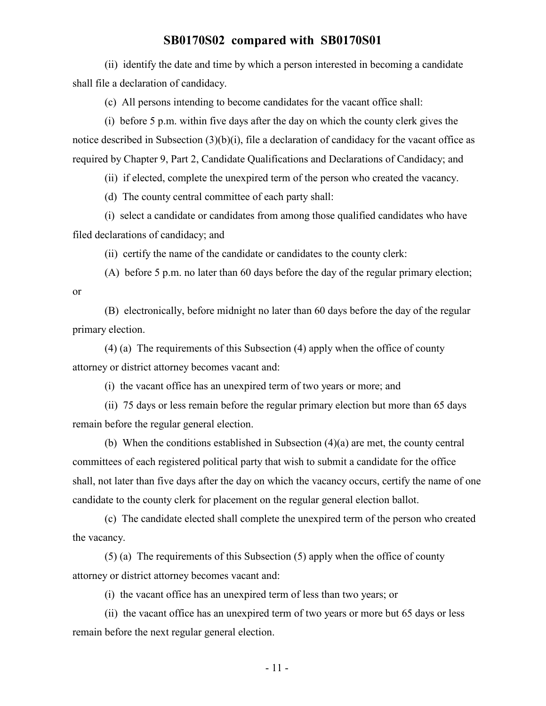(ii) identify the date and time by which a person interested in becoming a candidate shall file a declaration of candidacy.

(c) All persons intending to become candidates for the vacant office shall:

(i) before 5 p.m. within five days after the day on which the county clerk gives the notice described in Subsection (3)(b)(i), file a declaration of candidacy for the vacant office as required by Chapter 9, Part 2, Candidate Qualifications and Declarations of Candidacy; and

(ii) if elected, complete the unexpired term of the person who created the vacancy.

(d) The county central committee of each party shall:

(i) select a candidate or candidates from among those qualified candidates who have filed declarations of candidacy; and

(ii) certify the name of the candidate or candidates to the county clerk:

(A) before 5 p.m. no later than 60 days before the day of the regular primary election; or

(B) electronically, before midnight no later than 60 days before the day of the regular primary election.

(4) (a) The requirements of this Subsection (4) apply when the office of county attorney or district attorney becomes vacant and:

(i) the vacant office has an unexpired term of two years or more; and

(ii) 75 days or less remain before the regular primary election but more than 65 days remain before the regular general election.

(b) When the conditions established in Subsection (4)(a) are met, the county central committees of each registered political party that wish to submit a candidate for the office shall, not later than five days after the day on which the vacancy occurs, certify the name of one candidate to the county clerk for placement on the regular general election ballot.

(c) The candidate elected shall complete the unexpired term of the person who created the vacancy.

(5) (a) The requirements of this Subsection (5) apply when the office of county attorney or district attorney becomes vacant and:

(i) the vacant office has an unexpired term of less than two years; or

(ii) the vacant office has an unexpired term of two years or more but 65 days or less remain before the next regular general election.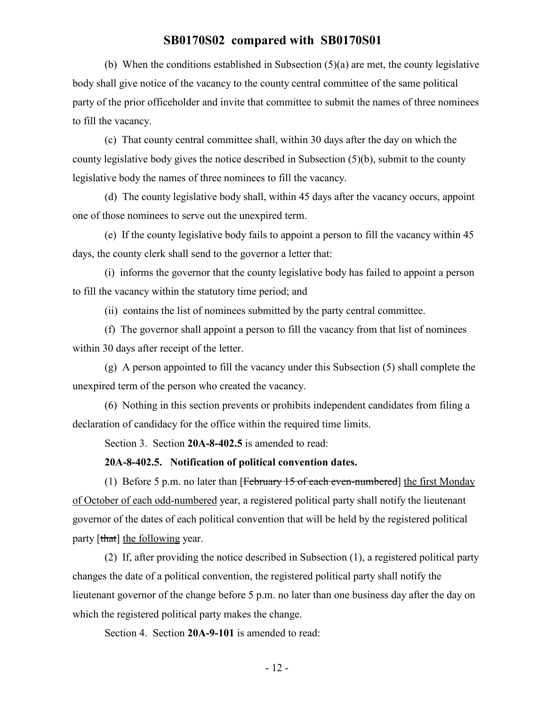(b) When the conditions established in Subsection (5)(a) are met, the county legislative body shall give notice of the vacancy to the county central committee of the same political party of the prior officeholder and invite that committee to submit the names of three nominees to fill the vacancy.

(c) That county central committee shall, within 30 days after the day on which the county legislative body gives the notice described in Subsection (5)(b), submit to the county legislative body the names of three nominees to fill the vacancy.

(d) The county legislative body shall, within 45 days after the vacancy occurs, appoint one of those nominees to serve out the unexpired term.

(e) If the county legislative body fails to appoint a person to fill the vacancy within 45 days, the county clerk shall send to the governor a letter that:

(i) informs the governor that the county legislative body has failed to appoint a person to fill the vacancy within the statutory time period; and

(ii) contains the list of nominees submitted by the party central committee.

(f) The governor shall appoint a person to fill the vacancy from that list of nominees within 30 days after receipt of the letter.

(g) A person appointed to fill the vacancy under this Subsection (5) shall complete the unexpired term of the person who created the vacancy.

(6) Nothing in this section prevents or prohibits independent candidates from filing a declaration of candidacy for the office within the required time limits.

Section 3. Section **20A-8-402.5** is amended to read:

#### **20A-8-402.5. Notification of political convention dates.**

(1) Before 5 p.m. no later than  $[Februar 15 of each even-numbered]$  the first Monday of October of each odd-numbered year, a registered political party shall notify the lieutenant governor of the dates of each political convention that will be held by the registered political party [that] the following year.

(2) If, after providing the notice described in Subsection (1), a registered political party changes the date of a political convention, the registered political party shall notify the lieutenant governor of the change before 5 p.m. no later than one business day after the day on which the registered political party makes the change.

Section 4. Section **20A-9-101** is amended to read: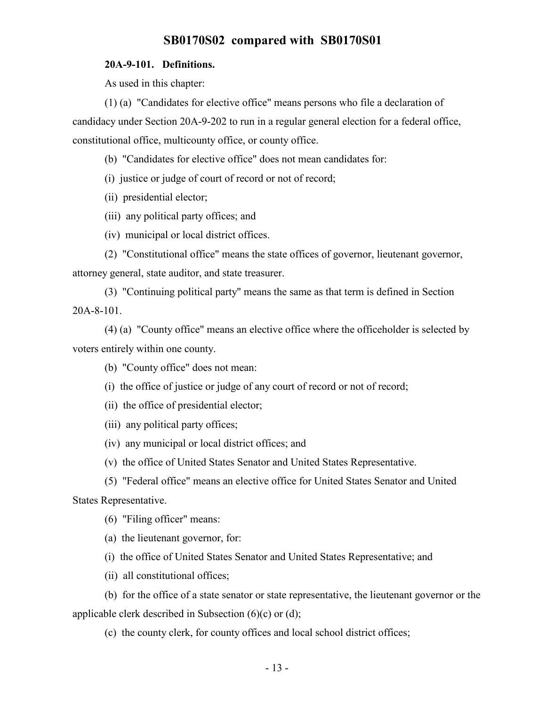#### **20A-9-101. Definitions.**

As used in this chapter:

(1) (a) "Candidates for elective office" means persons who file a declaration of candidacy under Section 20A-9-202 to run in a regular general election for a federal office, constitutional office, multicounty office, or county office.

(b) "Candidates for elective office" does not mean candidates for:

(i) justice or judge of court of record or not of record;

(ii) presidential elector;

(iii) any political party offices; and

(iv) municipal or local district offices.

(2) "Constitutional office" means the state offices of governor, lieutenant governor, attorney general, state auditor, and state treasurer.

(3) "Continuing political party" means the same as that term is defined in Section 20A-8-101.

(4) (a) "County office" means an elective office where the officeholder is selected by voters entirely within one county.

(b) "County office" does not mean:

(i) the office of justice or judge of any court of record or not of record;

(ii) the office of presidential elector;

(iii) any political party offices;

(iv) any municipal or local district offices; and

(v) the office of United States Senator and United States Representative.

(5) "Federal office" means an elective office for United States Senator and United States Representative.

(6) "Filing officer" means:

(a) the lieutenant governor, for:

(i) the office of United States Senator and United States Representative; and

(ii) all constitutional offices;

(b) for the office of a state senator or state representative, the lieutenant governor or the applicable clerk described in Subsection (6)(c) or (d);

(c) the county clerk, for county offices and local school district offices;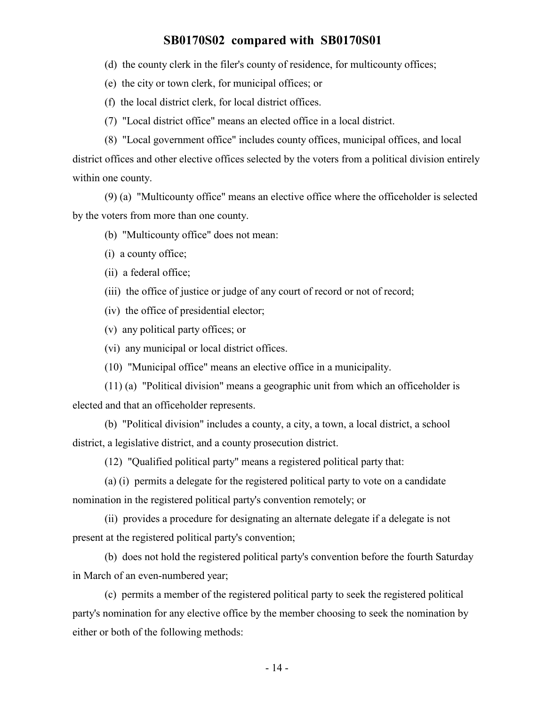(d) the county clerk in the filer's county of residence, for multicounty offices;

(e) the city or town clerk, for municipal offices; or

(f) the local district clerk, for local district offices.

(7) "Local district office" means an elected office in a local district.

(8) "Local government office" includes county offices, municipal offices, and local district offices and other elective offices selected by the voters from a political division entirely

within one county.

(9) (a) "Multicounty office" means an elective office where the officeholder is selected by the voters from more than one county.

(b) "Multicounty office" does not mean:

(i) a county office;

(ii) a federal office;

(iii) the office of justice or judge of any court of record or not of record;

(iv) the office of presidential elector;

(v) any political party offices; or

(vi) any municipal or local district offices.

(10) "Municipal office" means an elective office in a municipality.

(11) (a) "Political division" means a geographic unit from which an officeholder is elected and that an officeholder represents.

(b) "Political division" includes a county, a city, a town, a local district, a school district, a legislative district, and a county prosecution district.

(12) "Qualified political party" means a registered political party that:

(a) (i) permits a delegate for the registered political party to vote on a candidate nomination in the registered political party's convention remotely; or

(ii) provides a procedure for designating an alternate delegate if a delegate is not present at the registered political party's convention;

(b) does not hold the registered political party's convention before the fourth Saturday in March of an even-numbered year;

(c) permits a member of the registered political party to seek the registered political party's nomination for any elective office by the member choosing to seek the nomination by either or both of the following methods: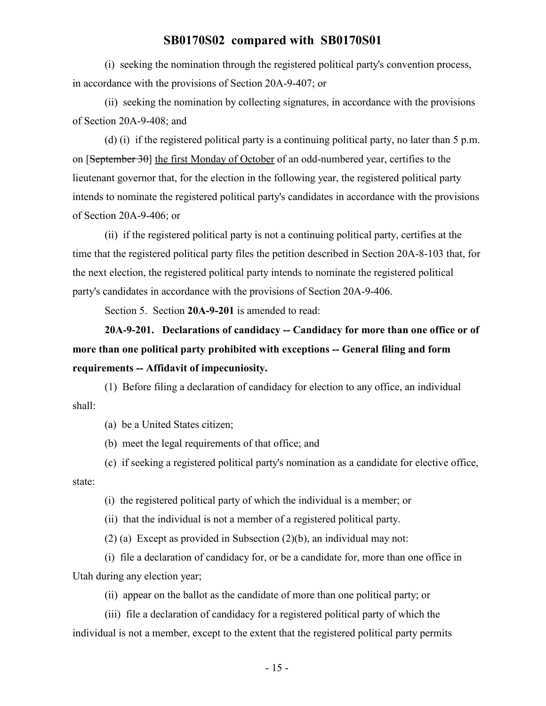(i) seeking the nomination through the registered political party's convention process, in accordance with the provisions of Section 20A-9-407; or

(ii) seeking the nomination by collecting signatures, in accordance with the provisions of Section 20A-9-408; and

(d) (i) if the registered political party is a continuing political party, no later than 5 p.m. on [September 30] the first Monday of October of an odd-numbered year, certifies to the lieutenant governor that, for the election in the following year, the registered political party intends to nominate the registered political party's candidates in accordance with the provisions of Section 20A-9-406; or

(ii) if the registered political party is not a continuing political party, certifies at the time that the registered political party files the petition described in Section 20A-8-103 that, for the next election, the registered political party intends to nominate the registered political party's candidates in accordance with the provisions of Section 20A-9-406.

Section 5. Section **20A-9-201** is amended to read:

**20A-9-201. Declarations of candidacy -- Candidacy for more than one office or of more than one political party prohibited with exceptions -- General filing and form requirements -- Affidavit of impecuniosity.**

(1) Before filing a declaration of candidacy for election to any office, an individual shall:

(a) be a United States citizen;

(b) meet the legal requirements of that office; and

(c) if seeking a registered political party's nomination as a candidate for elective office, state:

(i) the registered political party of which the individual is a member; or

(ii) that the individual is not a member of a registered political party.

(2) (a) Except as provided in Subsection (2)(b), an individual may not:

(i) file a declaration of candidacy for, or be a candidate for, more than one office in Utah during any election year;

(ii) appear on the ballot as the candidate of more than one political party; or

(iii) file a declaration of candidacy for a registered political party of which the individual is not a member, except to the extent that the registered political party permits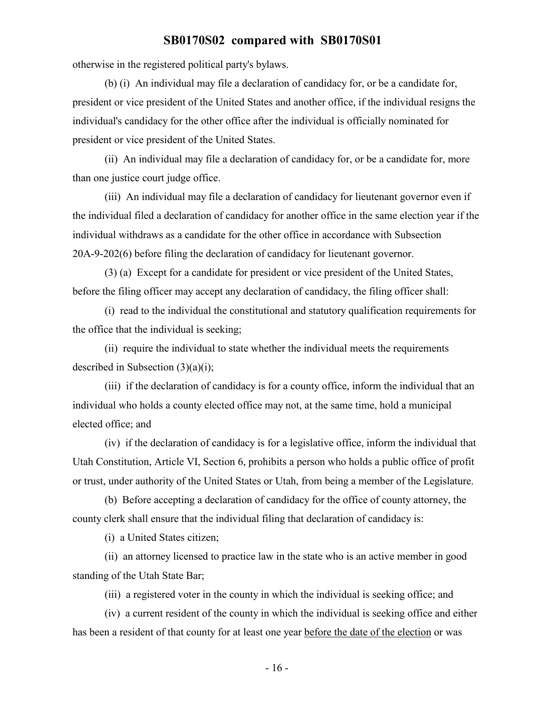otherwise in the registered political party's bylaws.

(b) (i) An individual may file a declaration of candidacy for, or be a candidate for, president or vice president of the United States and another office, if the individual resigns the individual's candidacy for the other office after the individual is officially nominated for president or vice president of the United States.

(ii) An individual may file a declaration of candidacy for, or be a candidate for, more than one justice court judge office.

(iii) An individual may file a declaration of candidacy for lieutenant governor even if the individual filed a declaration of candidacy for another office in the same election year if the individual withdraws as a candidate for the other office in accordance with Subsection 20A-9-202(6) before filing the declaration of candidacy for lieutenant governor.

(3) (a) Except for a candidate for president or vice president of the United States, before the filing officer may accept any declaration of candidacy, the filing officer shall:

(i) read to the individual the constitutional and statutory qualification requirements for the office that the individual is seeking;

(ii) require the individual to state whether the individual meets the requirements described in Subsection  $(3)(a)(i)$ ;

(iii) if the declaration of candidacy is for a county office, inform the individual that an individual who holds a county elected office may not, at the same time, hold a municipal elected office; and

(iv) if the declaration of candidacy is for a legislative office, inform the individual that Utah Constitution, Article VI, Section 6, prohibits a person who holds a public office of profit or trust, under authority of the United States or Utah, from being a member of the Legislature.

(b) Before accepting a declaration of candidacy for the office of county attorney, the county clerk shall ensure that the individual filing that declaration of candidacy is:

(i) a United States citizen;

(ii) an attorney licensed to practice law in the state who is an active member in good standing of the Utah State Bar;

(iii) a registered voter in the county in which the individual is seeking office; and

(iv) a current resident of the county in which the individual is seeking office and either has been a resident of that county for at least one year before the date of the election or was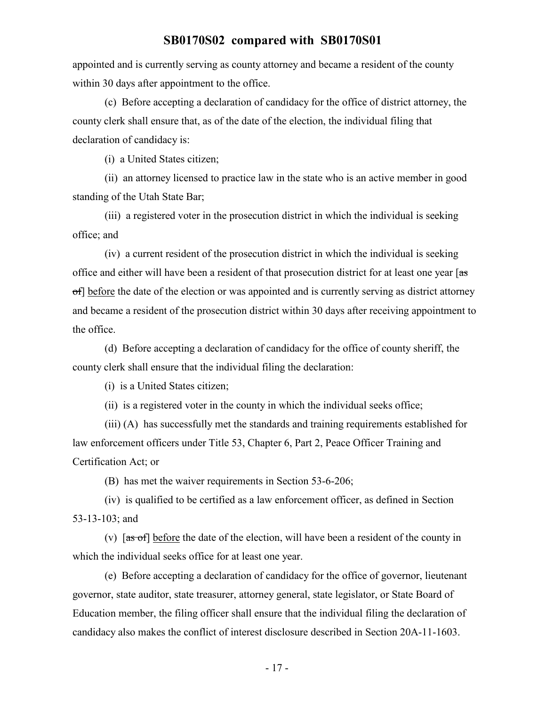appointed and is currently serving as county attorney and became a resident of the county within 30 days after appointment to the office.

(c) Before accepting a declaration of candidacy for the office of district attorney, the county clerk shall ensure that, as of the date of the election, the individual filing that declaration of candidacy is:

(i) a United States citizen;

(ii) an attorney licensed to practice law in the state who is an active member in good standing of the Utah State Bar;

(iii) a registered voter in the prosecution district in which the individual is seeking office; and

(iv) a current resident of the prosecution district in which the individual is seeking office and either will have been a resident of that prosecution district for at least one year [ $\frac{1}{35}$ ] of] before the date of the election or was appointed and is currently serving as district attorney and became a resident of the prosecution district within 30 days after receiving appointment to the office.

(d) Before accepting a declaration of candidacy for the office of county sheriff, the county clerk shall ensure that the individual filing the declaration:

(i) is a United States citizen;

(ii) is a registered voter in the county in which the individual seeks office;

(iii) (A) has successfully met the standards and training requirements established for law enforcement officers under Title 53, Chapter 6, Part 2, Peace Officer Training and Certification Act; or

(B) has met the waiver requirements in Section 53-6-206;

(iv) is qualified to be certified as a law enforcement officer, as defined in Section 53-13-103; and

(v)  $\overline{a}$  [as of] before the date of the election, will have been a resident of the county in which the individual seeks office for at least one year.

(e) Before accepting a declaration of candidacy for the office of governor, lieutenant governor, state auditor, state treasurer, attorney general, state legislator, or State Board of Education member, the filing officer shall ensure that the individual filing the declaration of candidacy also makes the conflict of interest disclosure described in Section 20A-11-1603.

- 17 -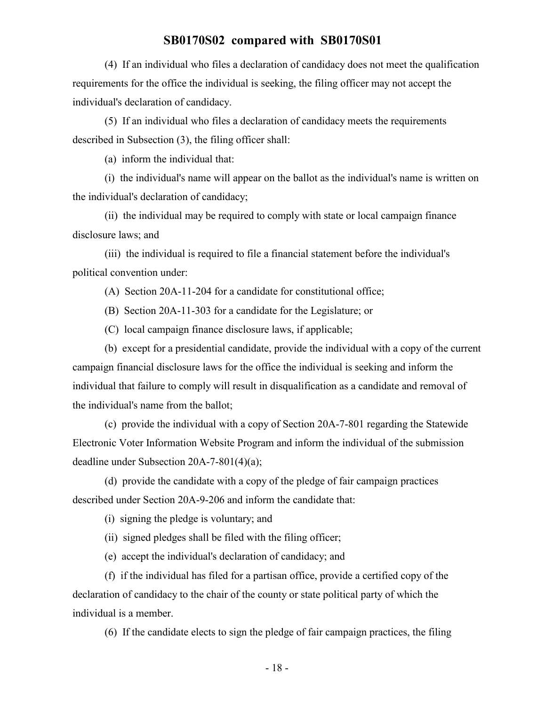(4) If an individual who files a declaration of candidacy does not meet the qualification requirements for the office the individual is seeking, the filing officer may not accept the individual's declaration of candidacy.

(5) If an individual who files a declaration of candidacy meets the requirements described in Subsection (3), the filing officer shall:

(a) inform the individual that:

(i) the individual's name will appear on the ballot as the individual's name is written on the individual's declaration of candidacy;

(ii) the individual may be required to comply with state or local campaign finance disclosure laws; and

(iii) the individual is required to file a financial statement before the individual's political convention under:

(A) Section 20A-11-204 for a candidate for constitutional office;

(B) Section 20A-11-303 for a candidate for the Legislature; or

(C) local campaign finance disclosure laws, if applicable;

(b) except for a presidential candidate, provide the individual with a copy of the current campaign financial disclosure laws for the office the individual is seeking and inform the individual that failure to comply will result in disqualification as a candidate and removal of the individual's name from the ballot;

(c) provide the individual with a copy of Section 20A-7-801 regarding the Statewide Electronic Voter Information Website Program and inform the individual of the submission deadline under Subsection 20A-7-801(4)(a);

(d) provide the candidate with a copy of the pledge of fair campaign practices described under Section 20A-9-206 and inform the candidate that:

(i) signing the pledge is voluntary; and

(ii) signed pledges shall be filed with the filing officer;

(e) accept the individual's declaration of candidacy; and

(f) if the individual has filed for a partisan office, provide a certified copy of the declaration of candidacy to the chair of the county or state political party of which the individual is a member.

(6) If the candidate elects to sign the pledge of fair campaign practices, the filing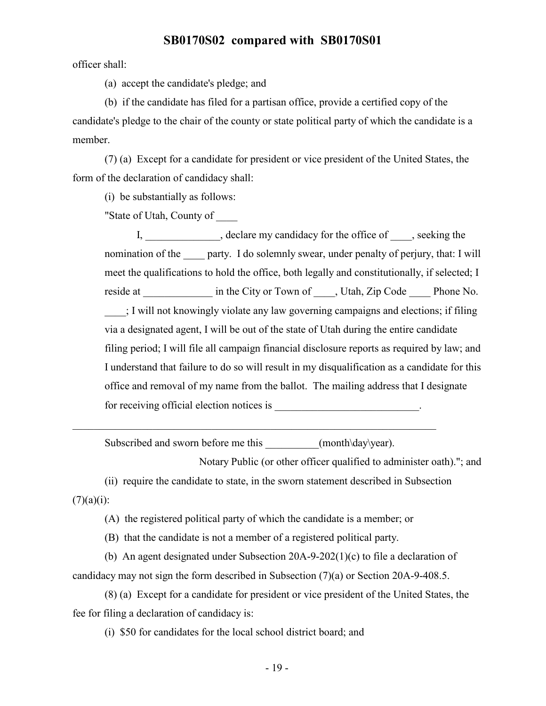officer shall:

(a) accept the candidate's pledge; and

(b) if the candidate has filed for a partisan office, provide a certified copy of the candidate's pledge to the chair of the county or state political party of which the candidate is a member.

(7) (a) Except for a candidate for president or vice president of the United States, the form of the declaration of candidacy shall:

(i) be substantially as follows:

"State of Utah, County of \_\_\_\_

I, declare my candidacy for the office of , seeking the nomination of the party. I do solemnly swear, under penalty of perjury, that: I will meet the qualifications to hold the office, both legally and constitutionally, if selected; I reside at \_\_\_\_\_\_\_\_\_\_\_\_\_\_ in the City or Town of \_\_\_\_\_, Utah, Zip Code \_\_\_\_\_\_\_ Phone No. \_\_\_\_; I will not knowingly violate any law governing campaigns and elections; if filing via a designated agent, I will be out of the state of Utah during the entire candidate filing period; I will file all campaign financial disclosure reports as required by law; and I understand that failure to do so will result in my disqualification as a candidate for this office and removal of my name from the ballot. The mailing address that I designate for receiving official election notices is  $\blacksquare$ 

Subscribed and sworn before me this  $(month\day\year)$ .

Notary Public (or other officer qualified to administer oath)."; and

(ii) require the candidate to state, in the sworn statement described in Subsection  $(7)(a)(i)$ :

(A) the registered political party of which the candidate is a member; or

(B) that the candidate is not a member of a registered political party.

(b) An agent designated under Subsection 20A-9-202(1)(c) to file a declaration of candidacy may not sign the form described in Subsection (7)(a) or Section 20A-9-408.5.

(8) (a) Except for a candidate for president or vice president of the United States, the fee for filing a declaration of candidacy is:

(i) \$50 for candidates for the local school district board; and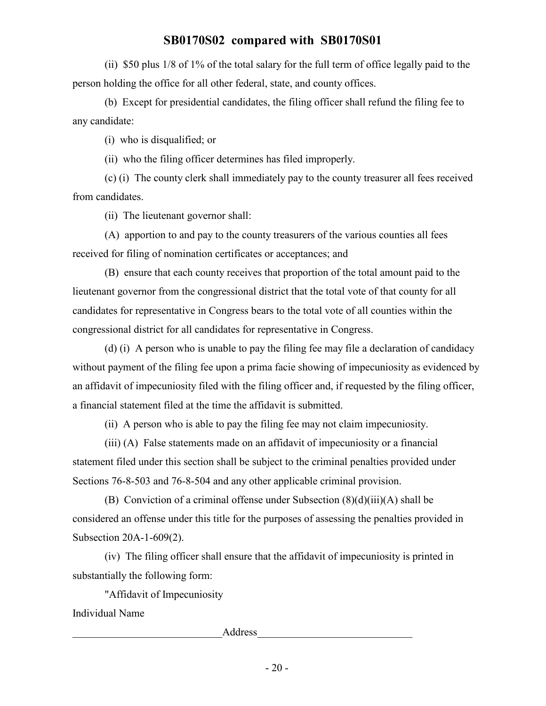(ii) \$50 plus 1/8 of 1% of the total salary for the full term of office legally paid to the person holding the office for all other federal, state, and county offices.

(b) Except for presidential candidates, the filing officer shall refund the filing fee to any candidate:

(i) who is disqualified; or

(ii) who the filing officer determines has filed improperly.

(c) (i) The county clerk shall immediately pay to the county treasurer all fees received from candidates.

(ii) The lieutenant governor shall:

(A) apportion to and pay to the county treasurers of the various counties all fees received for filing of nomination certificates or acceptances; and

(B) ensure that each county receives that proportion of the total amount paid to the lieutenant governor from the congressional district that the total vote of that county for all candidates for representative in Congress bears to the total vote of all counties within the congressional district for all candidates for representative in Congress.

(d) (i) A person who is unable to pay the filing fee may file a declaration of candidacy without payment of the filing fee upon a prima facie showing of impecuniosity as evidenced by an affidavit of impecuniosity filed with the filing officer and, if requested by the filing officer, a financial statement filed at the time the affidavit is submitted.

(ii) A person who is able to pay the filing fee may not claim impecuniosity.

(iii) (A) False statements made on an affidavit of impecuniosity or a financial statement filed under this section shall be subject to the criminal penalties provided under Sections 76-8-503 and 76-8-504 and any other applicable criminal provision.

(B) Conviction of a criminal offense under Subsection  $(8)(d)(iii)(A)$  shall be considered an offense under this title for the purposes of assessing the penalties provided in Subsection 20A-1-609(2).

(iv) The filing officer shall ensure that the affidavit of impecuniosity is printed in substantially the following form:

"Affidavit of Impecuniosity

Individual Name

example and the contract of  $\Delta$ ddress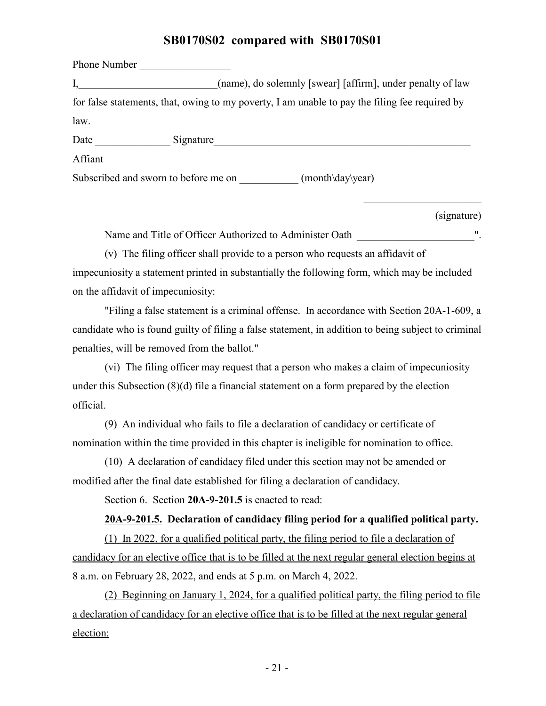Phone Number I, (name), do solemnly [swear] [affirm], under penalty of law for false statements, that, owing to my poverty, I am unable to pay the filing fee required by law. Date Signature Affiant Subscribed and sworn to before me on \_\_\_\_\_\_\_\_\_\_\_\_ (month\day\year)

(signature)

Name and Title of Officer Authorized to Administer Oath  $\blacksquare$ .

(v) The filing officer shall provide to a person who requests an affidavit of impecuniosity a statement printed in substantially the following form, which may be included on the affidavit of impecuniosity:

"Filing a false statement is a criminal offense. In accordance with Section 20A-1-609, a candidate who is found guilty of filing a false statement, in addition to being subject to criminal penalties, will be removed from the ballot."

(vi) The filing officer may request that a person who makes a claim of impecuniosity under this Subsection (8)(d) file a financial statement on a form prepared by the election official.

(9) An individual who fails to file a declaration of candidacy or certificate of nomination within the time provided in this chapter is ineligible for nomination to office.

(10) A declaration of candidacy filed under this section may not be amended or modified after the final date established for filing a declaration of candidacy.

Section 6. Section **20A-9-201.5** is enacted to read:

#### **20A-9-201.5. Declaration of candidacy filing period for a qualified political party.**

(1) In 2022, for a qualified political party, the filing period to file a declaration of candidacy for an elective office that is to be filled at the next regular general election begins at 8 a.m. on February 28, 2022, and ends at 5 p.m. on March 4, 2022.

(2) Beginning on January 1, 2024, for a qualified political party, the filing period to file a declaration of candidacy for an elective office that is to be filled at the next regular general election: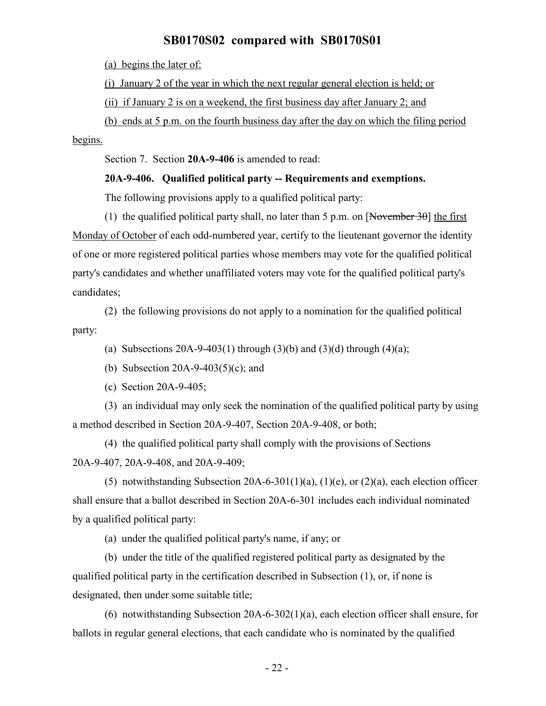(a) begins the later of:

(i) January 2 of the year in which the next regular general election is held; or

(ii) if January 2 is on a weekend, the first business day after January 2; and

(b) ends at 5 p.m. on the fourth business day after the day on which the filing period

begins.

Section 7. Section **20A-9-406** is amended to read:

#### **20A-9-406. Qualified political party -- Requirements and exemptions.**

The following provisions apply to a qualified political party:

(1) the qualified political party shall, no later than 5 p.m. on [November 30] the first Monday of October of each odd-numbered year, certify to the lieutenant governor the identity of one or more registered political parties whose members may vote for the qualified political party's candidates and whether unaffiliated voters may vote for the qualified political party's candidates;

(2) the following provisions do not apply to a nomination for the qualified political party:

(a) Subsections 20A-9-403(1) through (3)(b) and (3)(d) through (4)(a);

(b) Subsection 20A-9-403(5)(c); and

(c) Section 20A-9-405;

(3) an individual may only seek the nomination of the qualified political party by using a method described in Section 20A-9-407, Section 20A-9-408, or both;

(4) the qualified political party shall comply with the provisions of Sections 20A-9-407, 20A-9-408, and 20A-9-409;

(5) notwithstanding Subsection 20A-6-301(1)(a), (1)(e), or (2)(a), each election officer shall ensure that a ballot described in Section 20A-6-301 includes each individual nominated by a qualified political party:

(a) under the qualified political party's name, if any; or

(b) under the title of the qualified registered political party as designated by the qualified political party in the certification described in Subsection (1), or, if none is designated, then under some suitable title;

(6) notwithstanding Subsection 20A-6-302(1)(a), each election officer shall ensure, for ballots in regular general elections, that each candidate who is nominated by the qualified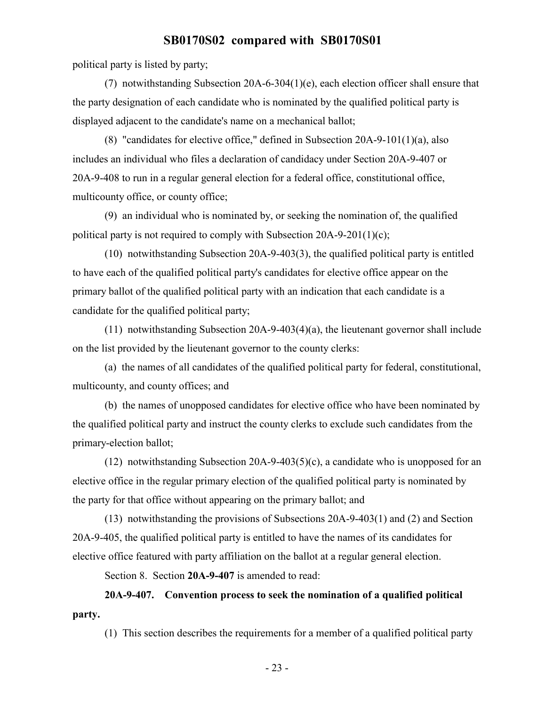political party is listed by party;

(7) notwithstanding Subsection 20A-6-304(1)(e), each election officer shall ensure that the party designation of each candidate who is nominated by the qualified political party is displayed adjacent to the candidate's name on a mechanical ballot;

(8) "candidates for elective office," defined in Subsection 20A-9-101(1)(a), also includes an individual who files a declaration of candidacy under Section 20A-9-407 or 20A-9-408 to run in a regular general election for a federal office, constitutional office, multicounty office, or county office;

(9) an individual who is nominated by, or seeking the nomination of, the qualified political party is not required to comply with Subsection 20A-9-201(1)(c);

(10) notwithstanding Subsection 20A-9-403(3), the qualified political party is entitled to have each of the qualified political party's candidates for elective office appear on the primary ballot of the qualified political party with an indication that each candidate is a candidate for the qualified political party;

(11) notwithstanding Subsection 20A-9-403(4)(a), the lieutenant governor shall include on the list provided by the lieutenant governor to the county clerks:

(a) the names of all candidates of the qualified political party for federal, constitutional, multicounty, and county offices; and

(b) the names of unopposed candidates for elective office who have been nominated by the qualified political party and instruct the county clerks to exclude such candidates from the primary-election ballot;

(12) notwithstanding Subsection 20A-9-403(5)(c), a candidate who is unopposed for an elective office in the regular primary election of the qualified political party is nominated by the party for that office without appearing on the primary ballot; and

(13) notwithstanding the provisions of Subsections 20A-9-403(1) and (2) and Section 20A-9-405, the qualified political party is entitled to have the names of its candidates for elective office featured with party affiliation on the ballot at a regular general election.

Section 8. Section **20A-9-407** is amended to read:

## **20A-9-407. Convention process to seek the nomination of a qualified political party.**

(1) This section describes the requirements for a member of a qualified political party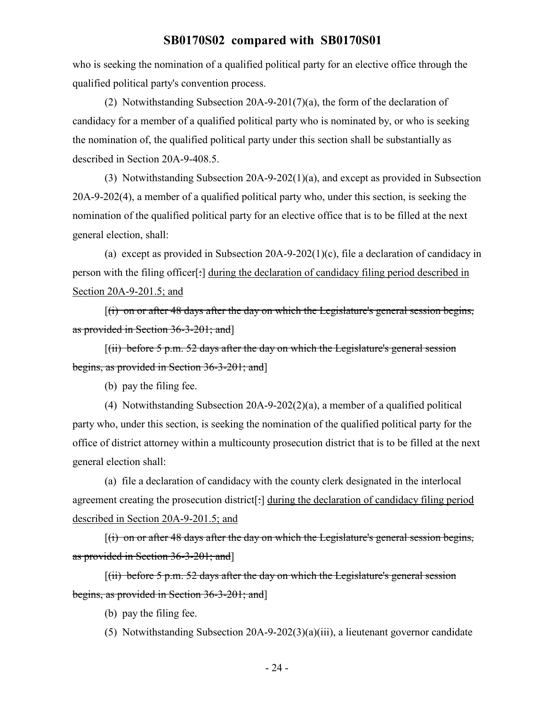who is seeking the nomination of a qualified political party for an elective office through the qualified political party's convention process.

(2) Notwithstanding Subsection 20A-9-201(7)(a), the form of the declaration of candidacy for a member of a qualified political party who is nominated by, or who is seeking the nomination of, the qualified political party under this section shall be substantially as described in Section 20A-9-408.5.

(3) Notwithstanding Subsection 20A-9-202(1)(a), and except as provided in Subsection 20A-9-202(4), a member of a qualified political party who, under this section, is seeking the nomination of the qualified political party for an elective office that is to be filled at the next general election, shall:

(a) except as provided in Subsection 20A-9-202(1)(c), file a declaration of candidacy in person with the filing officer[:] during the declaration of candidacy filing period described in Section 20A-9-201.5; and

 $[(i)$  on or after 48 days after the day on which the Legislature's general session begins, as provided in Section 36-3-201; and]

 $[(ii)$  before 5 p.m. 52 days after the day on which the Legislature's general session begins, as provided in Section 36-3-201; and]

(b) pay the filing fee.

(4) Notwithstanding Subsection 20A-9-202(2)(a), a member of a qualified political party who, under this section, is seeking the nomination of the qualified political party for the office of district attorney within a multicounty prosecution district that is to be filled at the next general election shall:

(a) file a declaration of candidacy with the county clerk designated in the interlocal agreement creating the prosecution district<sup>[-</sup>] during the declaration of candidacy filing period described in Section 20A-9-201.5; and

 $[(i)$  on or after 48 days after the day on which the Legislature's general session begins, as provided in Section 36-3-201; and]

 $[(ii)$  before 5 p.m. 52 days after the day on which the Legislature's general session begins, as provided in Section 36-3-201; and]

(b) pay the filing fee.

(5) Notwithstanding Subsection 20A-9-202(3)(a)(iii), a lieutenant governor candidate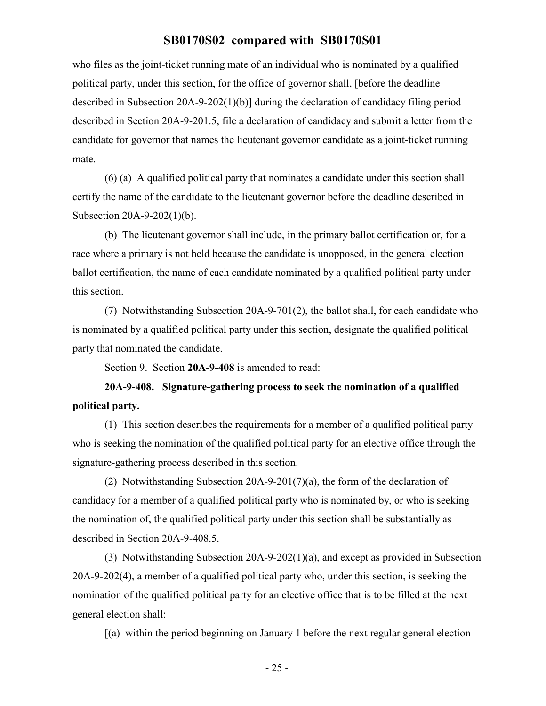who files as the joint-ticket running mate of an individual who is nominated by a qualified political party, under this section, for the office of governor shall, [before the deadline described in Subsection 20A-9-202(1)(b)] during the declaration of candidacy filing period described in Section 20A-9-201.5, file a declaration of candidacy and submit a letter from the candidate for governor that names the lieutenant governor candidate as a joint-ticket running mate.

(6) (a) A qualified political party that nominates a candidate under this section shall certify the name of the candidate to the lieutenant governor before the deadline described in Subsection 20A-9-202(1)(b).

(b) The lieutenant governor shall include, in the primary ballot certification or, for a race where a primary is not held because the candidate is unopposed, in the general election ballot certification, the name of each candidate nominated by a qualified political party under this section.

(7) Notwithstanding Subsection 20A-9-701(2), the ballot shall, for each candidate who is nominated by a qualified political party under this section, designate the qualified political party that nominated the candidate.

Section 9. Section **20A-9-408** is amended to read:

**20A-9-408. Signature-gathering process to seek the nomination of a qualified political party.**

(1) This section describes the requirements for a member of a qualified political party who is seeking the nomination of the qualified political party for an elective office through the signature-gathering process described in this section.

(2) Notwithstanding Subsection 20A-9-201(7)(a), the form of the declaration of candidacy for a member of a qualified political party who is nominated by, or who is seeking the nomination of, the qualified political party under this section shall be substantially as described in Section 20A-9-408.5.

(3) Notwithstanding Subsection 20A-9-202(1)(a), and except as provided in Subsection 20A-9-202(4), a member of a qualified political party who, under this section, is seeking the nomination of the qualified political party for an elective office that is to be filled at the next general election shall:

 $[(a)$  within the period beginning on January 1 before the next regular general election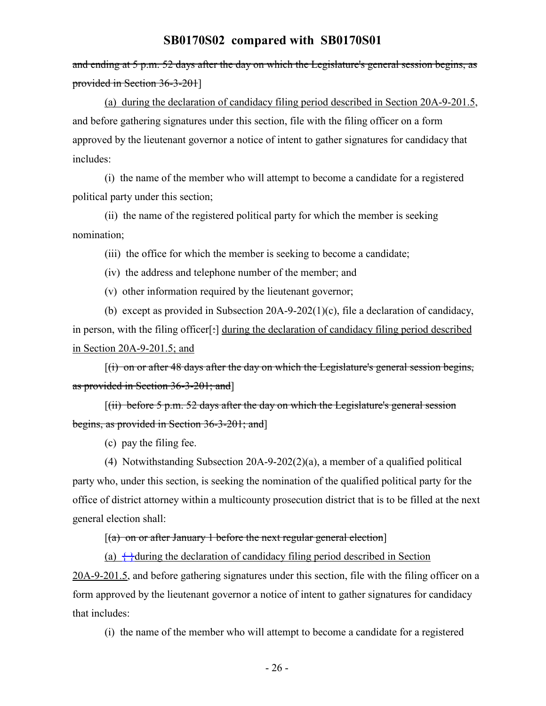and ending at 5 p.m. 52 days after the day on which the Legislature's general session begins, as provided in Section 36-3-201]

(a) during the declaration of candidacy filing period described in Section 20A-9-201.5, and before gathering signatures under this section, file with the filing officer on a form approved by the lieutenant governor a notice of intent to gather signatures for candidacy that includes:

(i) the name of the member who will attempt to become a candidate for a registered political party under this section;

(ii) the name of the registered political party for which the member is seeking nomination;

(iii) the office for which the member is seeking to become a candidate;

(iv) the address and telephone number of the member; and

(v) other information required by the lieutenant governor;

(b) except as provided in Subsection 20A-9-202(1)(c), file a declaration of candidacy, in person, with the filing officer<sup>[-]</sup> during the declaration of candidacy filing period described in Section 20A-9-201.5; and

[(i) on or after 48 days after the day on which the Legislature's general session begins, as provided in Section 36-3-201; and]

 $[(iii)$  before 5 p.m. 52 days after the day on which the Legislature's general session begins, as provided in Section 36-3-201; and]

(c) pay the filing fee.

(4) Notwithstanding Subsection 20A-9-202(2)(a), a member of a qualified political party who, under this section, is seeking the nomination of the qualified political party for the office of district attorney within a multicounty prosecution district that is to be filled at the next general election shall:

#### $[(a)$  on or after January 1 before the next regular general election

(a)  $\leftrightarrow$  during the declaration of candidacy filing period described in Section 20A-9-201.5, and before gathering signatures under this section, file with the filing officer on a form approved by the lieutenant governor a notice of intent to gather signatures for candidacy that includes:

(i) the name of the member who will attempt to become a candidate for a registered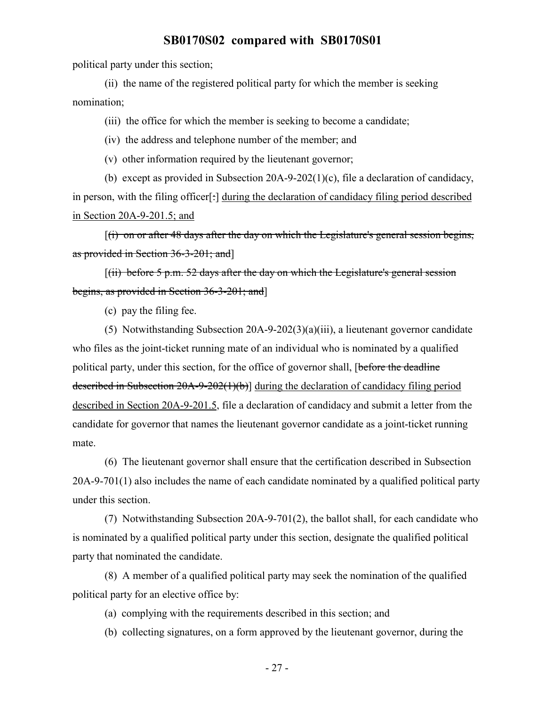political party under this section;

(ii) the name of the registered political party for which the member is seeking nomination;

(iii) the office for which the member is seeking to become a candidate;

(iv) the address and telephone number of the member; and

(v) other information required by the lieutenant governor;

(b) except as provided in Subsection 20A-9-202(1)(c), file a declaration of candidacy, in person, with the filing officer<sup>[-]</sup> during the declaration of candidacy filing period described in Section 20A-9-201.5; and

 $(i)$  on or after 48 days after the day on which the Legislature's general session begins, as provided in Section 36-3-201; and]

 $[(ii)$  before 5 p.m. 52 days after the day on which the Legislature's general session begins, as provided in Section 36-3-201; and]

(c) pay the filing fee.

(5) Notwithstanding Subsection 20A-9-202(3)(a)(iii), a lieutenant governor candidate who files as the joint-ticket running mate of an individual who is nominated by a qualified political party, under this section, for the office of governor shall, [before the deadline described in Subsection 20A-9-202(1)(b)] during the declaration of candidacy filing period described in Section 20A-9-201.5, file a declaration of candidacy and submit a letter from the candidate for governor that names the lieutenant governor candidate as a joint-ticket running mate.

(6) The lieutenant governor shall ensure that the certification described in Subsection 20A-9-701(1) also includes the name of each candidate nominated by a qualified political party under this section.

(7) Notwithstanding Subsection 20A-9-701(2), the ballot shall, for each candidate who is nominated by a qualified political party under this section, designate the qualified political party that nominated the candidate.

(8) A member of a qualified political party may seek the nomination of the qualified political party for an elective office by:

(a) complying with the requirements described in this section; and

(b) collecting signatures, on a form approved by the lieutenant governor, during the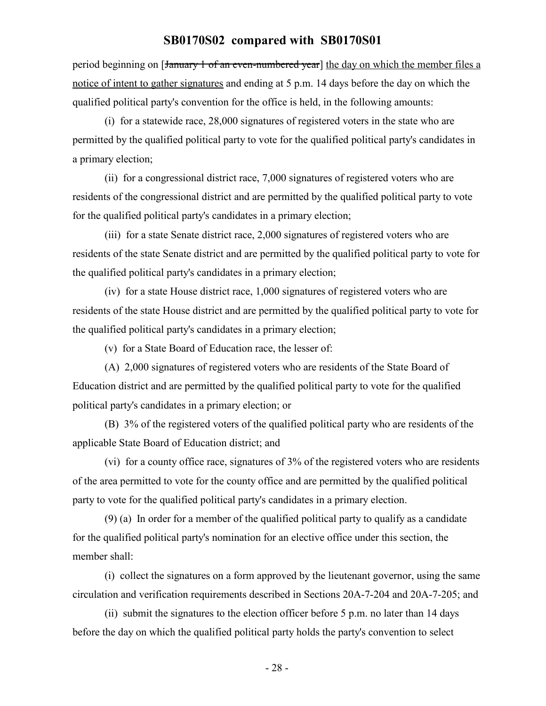period beginning on [January 1 of an even-numbered year] the day on which the member files a notice of intent to gather signatures and ending at 5 p.m. 14 days before the day on which the qualified political party's convention for the office is held, in the following amounts:

(i) for a statewide race, 28,000 signatures of registered voters in the state who are permitted by the qualified political party to vote for the qualified political party's candidates in a primary election;

(ii) for a congressional district race, 7,000 signatures of registered voters who are residents of the congressional district and are permitted by the qualified political party to vote for the qualified political party's candidates in a primary election;

(iii) for a state Senate district race, 2,000 signatures of registered voters who are residents of the state Senate district and are permitted by the qualified political party to vote for the qualified political party's candidates in a primary election;

(iv) for a state House district race, 1,000 signatures of registered voters who are residents of the state House district and are permitted by the qualified political party to vote for the qualified political party's candidates in a primary election;

(v) for a State Board of Education race, the lesser of:

(A) 2,000 signatures of registered voters who are residents of the State Board of Education district and are permitted by the qualified political party to vote for the qualified political party's candidates in a primary election; or

(B) 3% of the registered voters of the qualified political party who are residents of the applicable State Board of Education district; and

(vi) for a county office race, signatures of 3% of the registered voters who are residents of the area permitted to vote for the county office and are permitted by the qualified political party to vote for the qualified political party's candidates in a primary election.

(9) (a) In order for a member of the qualified political party to qualify as a candidate for the qualified political party's nomination for an elective office under this section, the member shall:

(i) collect the signatures on a form approved by the lieutenant governor, using the same circulation and verification requirements described in Sections 20A-7-204 and 20A-7-205; and

(ii) submit the signatures to the election officer before 5 p.m. no later than 14 days before the day on which the qualified political party holds the party's convention to select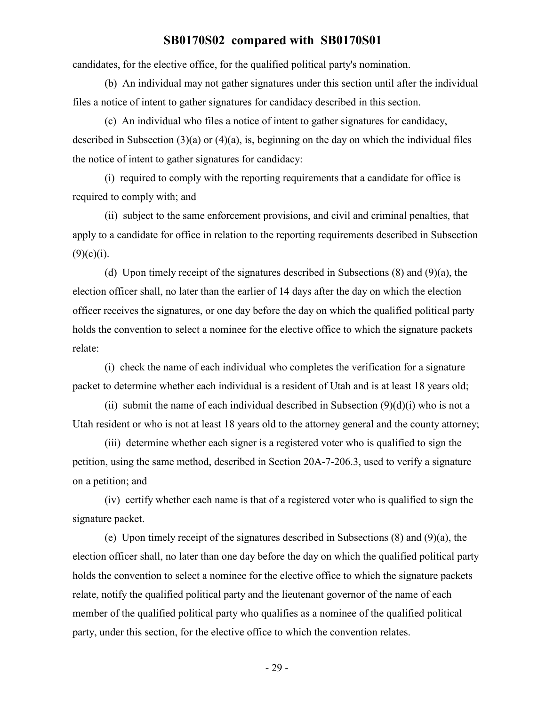candidates, for the elective office, for the qualified political party's nomination.

(b) An individual may not gather signatures under this section until after the individual files a notice of intent to gather signatures for candidacy described in this section.

(c) An individual who files a notice of intent to gather signatures for candidacy, described in Subsection (3)(a) or (4)(a), is, beginning on the day on which the individual files the notice of intent to gather signatures for candidacy:

(i) required to comply with the reporting requirements that a candidate for office is required to comply with; and

(ii) subject to the same enforcement provisions, and civil and criminal penalties, that apply to a candidate for office in relation to the reporting requirements described in Subsection  $(9)(c)(i)$ .

(d) Upon timely receipt of the signatures described in Subsections (8) and (9)(a), the election officer shall, no later than the earlier of 14 days after the day on which the election officer receives the signatures, or one day before the day on which the qualified political party holds the convention to select a nominee for the elective office to which the signature packets relate:

(i) check the name of each individual who completes the verification for a signature packet to determine whether each individual is a resident of Utah and is at least 18 years old;

(ii) submit the name of each individual described in Subsection  $(9)(d)(i)$  who is not a Utah resident or who is not at least 18 years old to the attorney general and the county attorney;

(iii) determine whether each signer is a registered voter who is qualified to sign the petition, using the same method, described in Section 20A-7-206.3, used to verify a signature on a petition; and

(iv) certify whether each name is that of a registered voter who is qualified to sign the signature packet.

(e) Upon timely receipt of the signatures described in Subsections (8) and (9)(a), the election officer shall, no later than one day before the day on which the qualified political party holds the convention to select a nominee for the elective office to which the signature packets relate, notify the qualified political party and the lieutenant governor of the name of each member of the qualified political party who qualifies as a nominee of the qualified political party, under this section, for the elective office to which the convention relates.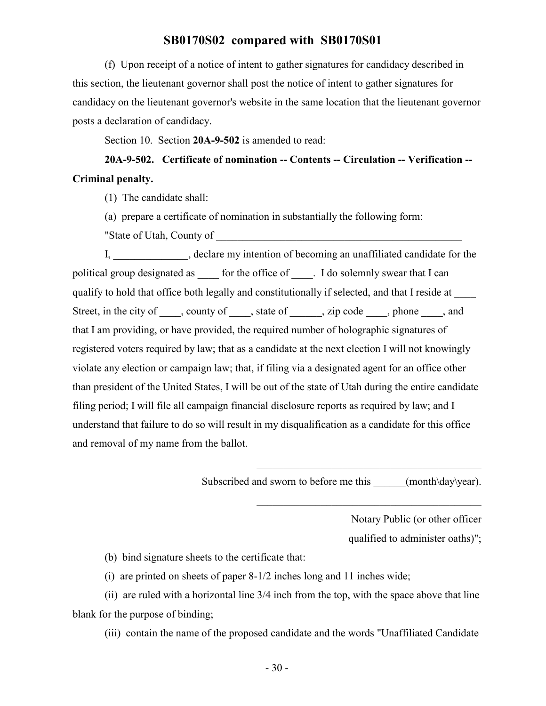(f) Upon receipt of a notice of intent to gather signatures for candidacy described in this section, the lieutenant governor shall post the notice of intent to gather signatures for candidacy on the lieutenant governor's website in the same location that the lieutenant governor posts a declaration of candidacy.

Section 10. Section **20A-9-502** is amended to read:

## **20A-9-502. Certificate of nomination -- Contents -- Circulation -- Verification -- Criminal penalty.**

(1) The candidate shall:

(a) prepare a certificate of nomination in substantially the following form:

"State of Utah, County of

I, electare my intention of becoming an unaffiliated candidate for the political group designated as \_\_\_\_\_ for the office of \_\_\_\_. I do solemnly swear that I can qualify to hold that office both legally and constitutionally if selected, and that I reside at \_\_\_\_ Street, in the city of \_\_\_\_, county of \_\_\_\_, state of \_\_\_\_\_, zip code \_\_\_\_, phone \_\_\_\_, and that I am providing, or have provided, the required number of holographic signatures of registered voters required by law; that as a candidate at the next election I will not knowingly violate any election or campaign law; that, if filing via a designated agent for an office other than president of the United States, I will be out of the state of Utah during the entire candidate filing period; I will file all campaign financial disclosure reports as required by law; and I understand that failure to do so will result in my disqualification as a candidate for this office and removal of my name from the ballot.

Subscribed and sworn to before me this  $(month\day\year)$ .

 $\mathcal{L}_\mathcal{L}$  , where  $\mathcal{L}_\mathcal{L}$  is the set of the set of the set of the set of the set of the set of the set of the set of the set of the set of the set of the set of the set of the set of the set of the set of the

Notary Public (or other officer qualified to administer oaths)";

(b) bind signature sheets to the certificate that:

(i) are printed on sheets of paper 8-1/2 inches long and 11 inches wide;

(ii) are ruled with a horizontal line 3/4 inch from the top, with the space above that line blank for the purpose of binding;

(iii) contain the name of the proposed candidate and the words "Unaffiliated Candidate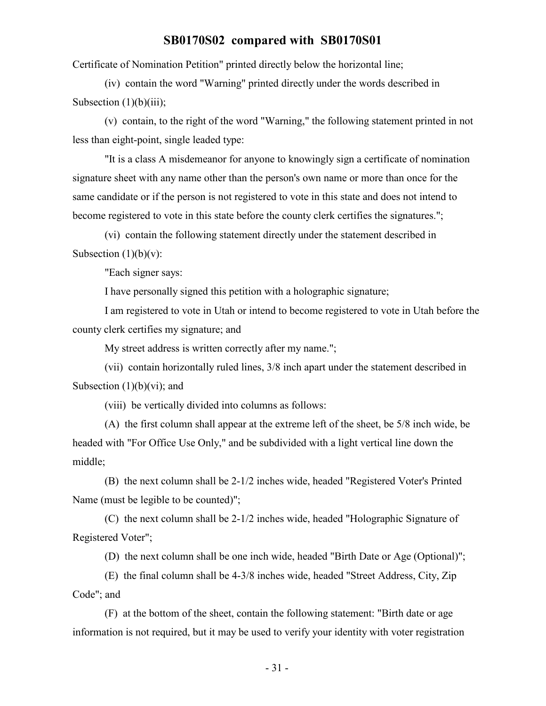Certificate of Nomination Petition" printed directly below the horizontal line;

(iv) contain the word "Warning" printed directly under the words described in Subsection  $(1)(b)(iii)$ ;

(v) contain, to the right of the word "Warning," the following statement printed in not less than eight-point, single leaded type:

"It is a class A misdemeanor for anyone to knowingly sign a certificate of nomination signature sheet with any name other than the person's own name or more than once for the same candidate or if the person is not registered to vote in this state and does not intend to become registered to vote in this state before the county clerk certifies the signatures.";

(vi) contain the following statement directly under the statement described in Subsection  $(1)(b)(v)$ :

"Each signer says:

I have personally signed this petition with a holographic signature;

I am registered to vote in Utah or intend to become registered to vote in Utah before the county clerk certifies my signature; and

My street address is written correctly after my name.";

(vii) contain horizontally ruled lines, 3/8 inch apart under the statement described in Subsection  $(1)(b)(vi)$ ; and

(viii) be vertically divided into columns as follows:

(A) the first column shall appear at the extreme left of the sheet, be 5/8 inch wide, be headed with "For Office Use Only," and be subdivided with a light vertical line down the middle;

(B) the next column shall be 2-1/2 inches wide, headed "Registered Voter's Printed Name (must be legible to be counted)";

(C) the next column shall be 2-1/2 inches wide, headed "Holographic Signature of Registered Voter";

(D) the next column shall be one inch wide, headed "Birth Date or Age (Optional)";

(E) the final column shall be 4-3/8 inches wide, headed "Street Address, City, Zip Code"; and

(F) at the bottom of the sheet, contain the following statement: "Birth date or age information is not required, but it may be used to verify your identity with voter registration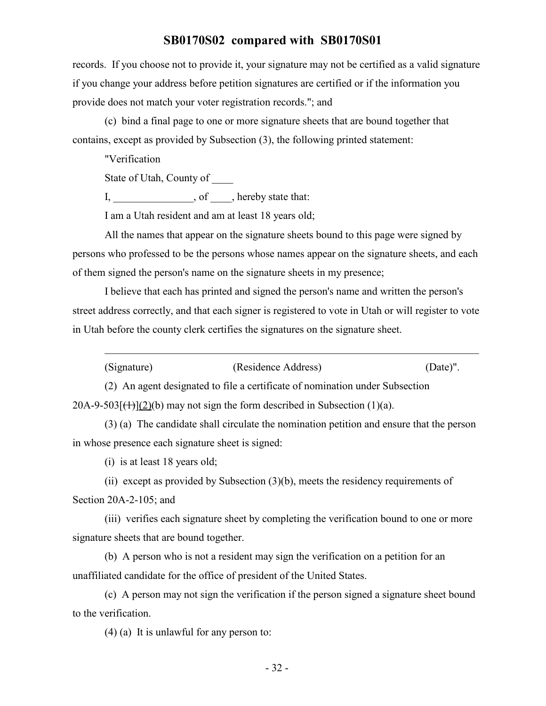records. If you choose not to provide it, your signature may not be certified as a valid signature if you change your address before petition signatures are certified or if the information you provide does not match your voter registration records."; and

(c) bind a final page to one or more signature sheets that are bound together that contains, except as provided by Subsection (3), the following printed statement:

"Verification

State of Utah, County of \_\_\_\_

I, efficiency of  $\alpha$ , hereby state that:

I am a Utah resident and am at least 18 years old;

All the names that appear on the signature sheets bound to this page were signed by persons who professed to be the persons whose names appear on the signature sheets, and each of them signed the person's name on the signature sheets in my presence;

I believe that each has printed and signed the person's name and written the person's street address correctly, and that each signer is registered to vote in Utah or will register to vote in Utah before the county clerk certifies the signatures on the signature sheet.

| (Signature) | (Residence Address) | $(Date)$ ". |
|-------------|---------------------|-------------|
|-------------|---------------------|-------------|

\_\_\_\_\_\_\_\_\_\_\_\_\_\_\_\_\_\_\_\_\_\_\_\_\_\_\_\_\_\_\_\_\_\_\_\_\_\_\_\_\_\_\_\_\_\_\_\_\_\_\_\_\_\_\_\_\_\_\_\_\_\_\_\_\_\_\_\_\_\_

(2) An agent designated to file a certificate of nomination under Subsection  $20A-9-503$ [ $(1)$ ](2)(b) may not sign the form described in Subsection (1)(a).

(3) (a) The candidate shall circulate the nomination petition and ensure that the person in whose presence each signature sheet is signed:

(i) is at least 18 years old;

(ii) except as provided by Subsection (3)(b), meets the residency requirements of Section 20A-2-105; and

(iii) verifies each signature sheet by completing the verification bound to one or more signature sheets that are bound together.

(b) A person who is not a resident may sign the verification on a petition for an unaffiliated candidate for the office of president of the United States.

(c) A person may not sign the verification if the person signed a signature sheet bound to the verification.

(4) (a) It is unlawful for any person to: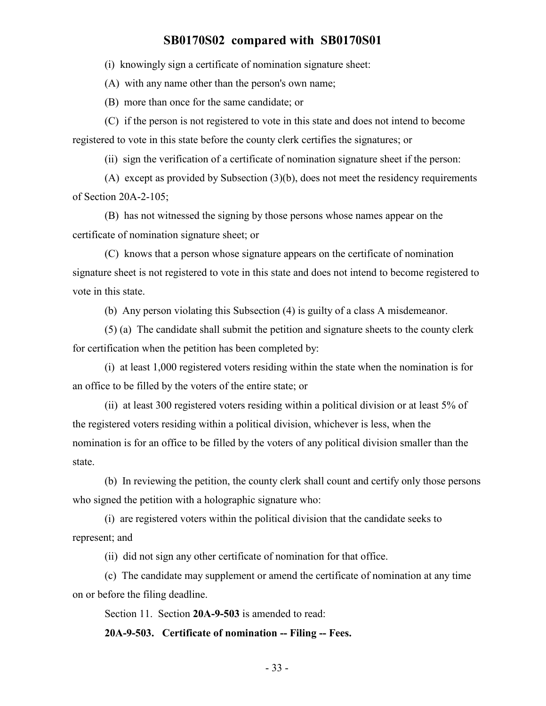(i) knowingly sign a certificate of nomination signature sheet:

(A) with any name other than the person's own name;

(B) more than once for the same candidate; or

(C) if the person is not registered to vote in this state and does not intend to become registered to vote in this state before the county clerk certifies the signatures; or

(ii) sign the verification of a certificate of nomination signature sheet if the person:

(A) except as provided by Subsection (3)(b), does not meet the residency requirements of Section 20A-2-105;

(B) has not witnessed the signing by those persons whose names appear on the certificate of nomination signature sheet; or

(C) knows that a person whose signature appears on the certificate of nomination signature sheet is not registered to vote in this state and does not intend to become registered to vote in this state.

(b) Any person violating this Subsection (4) is guilty of a class A misdemeanor.

(5) (a) The candidate shall submit the petition and signature sheets to the county clerk for certification when the petition has been completed by:

(i) at least 1,000 registered voters residing within the state when the nomination is for an office to be filled by the voters of the entire state; or

(ii) at least 300 registered voters residing within a political division or at least 5% of the registered voters residing within a political division, whichever is less, when the nomination is for an office to be filled by the voters of any political division smaller than the state.

(b) In reviewing the petition, the county clerk shall count and certify only those persons who signed the petition with a holographic signature who:

(i) are registered voters within the political division that the candidate seeks to represent; and

(ii) did not sign any other certificate of nomination for that office.

(c) The candidate may supplement or amend the certificate of nomination at any time on or before the filing deadline.

Section 11. Section **20A-9-503** is amended to read:

**20A-9-503. Certificate of nomination -- Filing -- Fees.**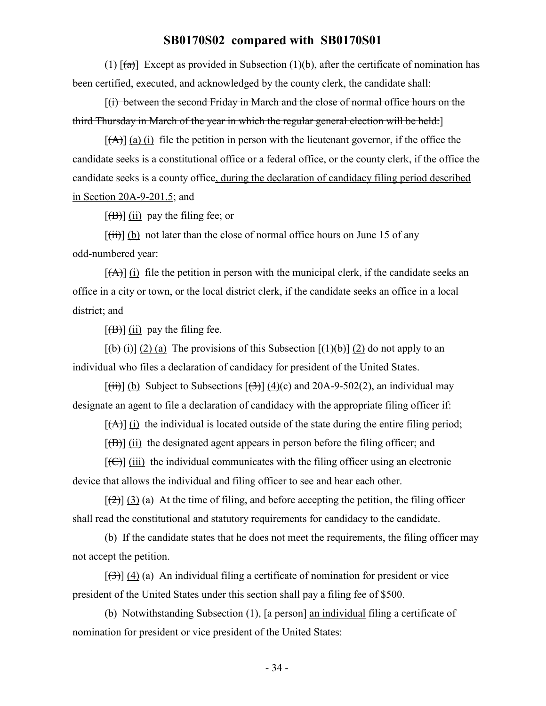(1)  $[(a)]$  Except as provided in Subsection (1)(b), after the certificate of nomination has been certified, executed, and acknowledged by the county clerk, the candidate shall:

[(i) between the second Friday in March and the close of normal office hours on the third Thursday in March of the year in which the regular general election will be held:]

 $[(A)]$  (a) (i) file the petition in person with the lieutenant governor, if the office the candidate seeks is a constitutional office or a federal office, or the county clerk, if the office the candidate seeks is a county office, during the declaration of candidacy filing period described in Section 20A-9-201.5; and

 $[\overline{(B)}]$  (ii) pay the filing fee; or

 $[\overrightarrow{tii}]$  (b) not later than the close of normal office hours on June 15 of any odd-numbered year:

 $[\overrightarrow{A}]$  (i) file the petition in person with the municipal clerk, if the candidate seeks an office in a city or town, or the local district clerk, if the candidate seeks an office in a local district; and

 $[\overline{(B)}]$  (ii) pay the filing fee.

 $[(b)(i)] (2) (a)$  The provisions of this Subsection  $[(1)(b)] (2)$  do not apply to an individual who files a declaration of candidacy for president of the United States.

 $[\overrightarrow{(\text{iii})}]$  (b) Subject to Subsections  $[\overrightarrow{(\text{3})}]$  (4)(c) and 20A-9-502(2), an individual may designate an agent to file a declaration of candidacy with the appropriate filing officer if:

 $[(A)]$  (i) the individual is located outside of the state during the entire filing period;

 $[\overline{(B)}]$  (ii) the designated agent appears in person before the filing officer; and

 $[\text{f}\bigoplus]$  (iii) the individual communicates with the filing officer using an electronic device that allows the individual and filing officer to see and hear each other.

 $[\frac{1}{2}]$  (3) (a) At the time of filing, and before accepting the petition, the filing officer shall read the constitutional and statutory requirements for candidacy to the candidate.

(b) If the candidate states that he does not meet the requirements, the filing officer may not accept the petition.

 $[\frac{1}{3}]$  (4) (a) An individual filing a certificate of nomination for president or vice president of the United States under this section shall pay a filing fee of \$500.

(b) Notwithstanding Subsection (1),  $\lceil a \frac{\pi}{6} \rceil$  an individual filing a certificate of nomination for president or vice president of the United States: